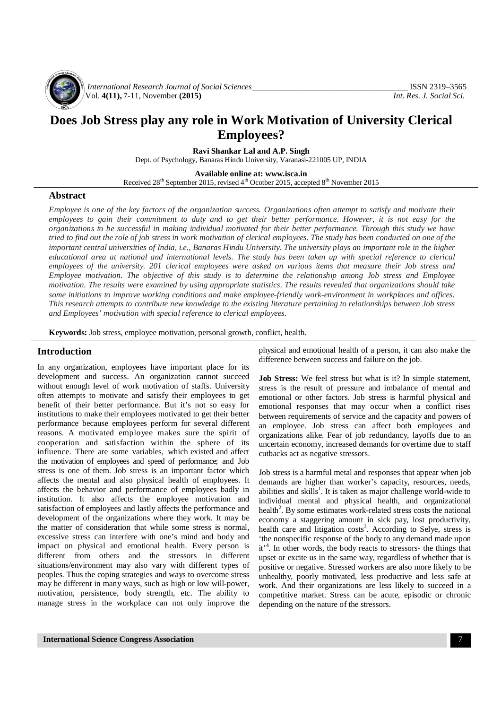

*International Research Journal of Social Sciences\_\_\_\_\_\_\_\_\_\_\_\_\_\_\_\_\_\_\_\_\_\_\_\_\_\_\_\_\_\_\_\_\_\_\_\_\_\_* ISSN 2319–3565 Vol. **4(11),** 7-11, November **(2015)** *Int. Res. J. Social Sci.*

# **Does Job Stress play any role in Work Motivation of University Clerical Employees?**

**Ravi Shankar Lal and A.P. Singh**

Dept. of Psychology, Banaras Hindu University, Varanasi-221005 UP, INDIA

**Available online at: [www.isca.in](http://www.isca.in)**

Received 28<sup>th</sup> September 2015, revised 4<sup>th</sup> Ocotber 2015, accepted 8<sup>th</sup> November 2015

## **Abstract**

*Employee is one of the key factors of the organization success. Organizations often attempt to satisfy and motivate their employees to gain their commitment to duty and to get their better performance. However, it is not easy for the organizations to be successful in making individual motivated for their better performance. Through this study we have tried to find out the role of job stress in work motivation of clerical employees. The study has been conducted on one of the important central universities of India, i.e., Banaras Hindu University. The university plays an important role in the higher educational area at national and international levels. The study has been taken up with special reference to clerical employees of the university. 201 clerical employees were asked on various items that measure their Job stress and Employee motivation. The objective of this study is to determine the relationship among Job stress and Employee motivation. The results were examined by using appropriate statistics. The results revealed that organizations should take some initiations to improve working conditions and make employee-friendly work-environment in workplaces and offices. This research attempts to contribute new knowledge to the existing literature pertaining to relationships between Job stress and Employees' motivation with special reference to clerical employees.* 

**Keywords:** Job stress, employee motivation, personal growth, conflict, health.

#### **Introduction**

In any organization, employees have important place for its development and success. An organization cannot succeed without enough level of work motivation of staffs. University often attempts to motivate and satisfy their employees to get benefit of their better performance. But it's not so easy for institutions to make their employees motivated to get their better performance because employees perform for several different reasons. A motivated employee makes sure the spirit of cooperation and satisfaction within the sphere of its influence. There are some variables, which existed and affect the motivation of employees and speed of performance; and Job stress is one of them. Job stress is an important factor which affects the mental and also physical health of employees. It affects the behavior and performance of employees badly in institution. It also affects the employee motivation and satisfaction of employees and lastly affects the performance and development of the organizations where they work. It may be the matter of consideration that while some stress is normal, excessive stress can interfere with one's mind and body and impact on physical and emotional health. Every person is different from others and the stressors in different situations/environment may also vary with different types of peoples. Thus the coping strategies and ways to overcome stress may be different in many ways, such as high or low will-power, motivation, persistence, body strength, etc. The ability to manage stress in the workplace can not only improve the

physical and emotional health of a person, it can also make the difference between success and failure on the job.

**Job Stress:** We feel stress but what is it? In simple statement, stress is the result of pressure and imbalance of mental and emotional or other factors. Job stress is harmful physical and emotional responses that may occur when a conflict rises between requirements of service and the capacity and powers of an employee. Job stress can affect both employees and organizations alike. Fear of job redundancy, layoffs due to an uncertain economy, increased demands for overtime due to staff cutbacks act as negative stressors.

Job stress is a harmful metal and responses that appear when job demands are higher than worker's capacity, resources, needs, abilities and skills<sup>1</sup>. It is taken as major challenge world-wide to individual mental and physical health, and organizational health<sup>2</sup>. By some estimates work-related stress costs the national economy a staggering amount in sick pay, lost productivity, health care and litigation costs<sup>3</sup>. According to Selye, stress is 'the nonspecific response of the body to any demand made upon it<sup>4</sup>. In other words, the body reacts to stressors- the things that upset or excite us in the same way, regardless of whether that is positive or negative. Stressed workers are also more likely to be unhealthy, poorly motivated, less productive and less safe at work. And their organizations are less likely to succeed in a competitive market. Stress can be acute, episodic or chronic depending on the nature of the stressors.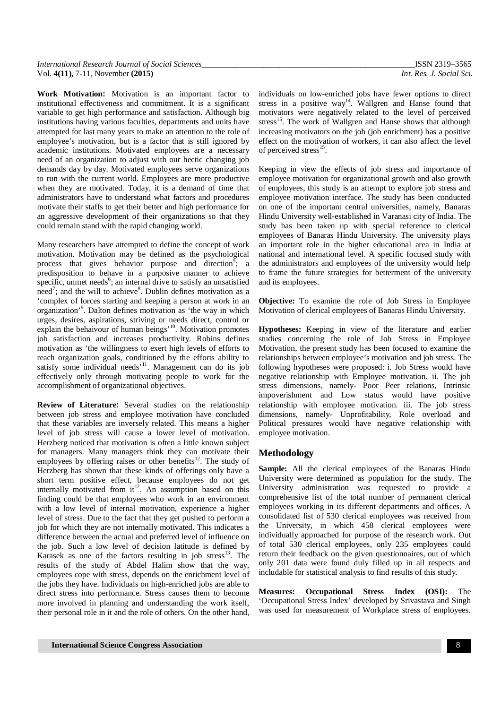| International Research Journal of Social Sciences | ISSN 2319-3565           |
|---------------------------------------------------|--------------------------|
| Vol. $4(11)$ , 7-11, November $(2015)$            | Int. Res. J. Social Sci. |

**Work Motivation:** Motivation is an important factor to institutional effectiveness and commitment. It is a significant variable to get high performance and satisfaction. Although big institutions having various faculties, departments and units have attempted for last many years to make an attention to the role of employee's motivation, but is a factor that is still ignored by academic institutions. Motivated employees are a necessary need of an organization to adjust with our hectic changing job demands day by day. Motivated employees serve organizations to run with the current world. Employees are more productive when they are motivated. Today, it is a demand of time that administrators have to understand what factors and procedures motivate their staffs to get their better and high performance for an aggressive development of their organizations so that they could remain stand with the rapid changing world.

Many researchers have attempted to define the concept of work motivation. Motivation may be defined as the psychological process that gives behavior purpose and direction<sup>5</sup>; a predisposition to behave in a purposive manner to achieve specific, unmet needs<sup>6</sup>; an internal drive to satisfy an unsatisfied need<sup>7</sup>; and the will to achieve<sup>8</sup>. Dublin defines motivation as a 'complex of forces starting and keeping a person at work in an organization'<sup>9</sup> . Dalton defines motivation as 'the way in which urges, desires, aspirations, striving or needs direct, control or explain the behaivour of human beings'<sup>10</sup>. Motivation promotes job satisfaction and increases productivity. Robins defines motivation as 'the willingness to exert high levels of efforts to reach organization goals, conditioned by the efforts ability to satisfy some individual needs'<sup>11</sup>. Management can do its job effectively only through motivating people to work for the accomplishment of organizational objectives.

**Review of Literature:** Several studies on the relationship between job stress and employee motivation have concluded that these variables are inversely related. This means a higher level of job stress will cause a lower level of motivation. Herzberg noticed that motivation is often a little known subject for managers. Many managers think they can motivate their employees by offering raises or other benefits $12$ . The study of Herzberg has shown that these kinds of offerings only have a short term positive effect, because employees do not get internally motivated from  $it^{12}$ . An assumption based on this finding could be that employees who work in an environment with a low level of internal motivation, experience a higher level of stress. Due to the fact that they get pushed to perform a job for which they are not internally motivated. This indicates a difference between the actual and preferred level of influence on the job. Such a low level of decision latitude is defined by Karasek as one of the factors resulting in job stress<sup>13</sup>. The results of the study of Abdel Halim show that the way, employees cope with stress, depends on the enrichment level of the jobs they have. Individuals on high-enriched jobs are able to direct stress into performance. Stress causes them to become more involved in planning and understanding the work itself, their personal role in it and the role of others. On the other hand,

individuals on low-enriched jobs have fewer options to direct stress in a positive way<sup>14</sup>. Wallgren and Hanse found that motivators were negatively related to the level of perceived stress<sup>15</sup>. The work of Wallgren and Hanse shows that although increasing motivators on the job (job enrichment) has a positive effect on the motivation of workers, it can also affect the level of perceived stress<sup>15</sup>.

Keeping in view the effects of job stress and importance of employee motivation for organizational growth and also growth of employees, this study is an attempt to explore job stress and employee motivation interface. The study has been conducted on one of the important central universities, namely, Banaras Hindu University well-established in Varanasi city of India. The study has been taken up with special reference to clerical employees of Banaras Hindu University. The university plays an important role in the higher educational area in India at national and international level. A specific focused study with the administrators and employees of the university would help to frame the future strategies for betterment of the university and its employees.

**Objective:** To examine the role of Job Stress in Employee Motivation of clerical employees of Banaras Hindu University.

**Hypotheses:** Keeping in view of the literature and earlier studies concerning the role of Job Stress in Employee Motivation, the present study has been focused to examine the relationships between employee's motivation and job stress. The following hypotheses were proposed: i. Job Stress would have negative relationship with Employee motivation. ii. The job stress dimensions, namely- Poor Peer relations, Intrinsic impoverishment and Low status would have positive relationship with employee motivation. iii. The job stress dimensions, namely- Unprofitability, Role overload and Political pressures would have negative relationship with employee motivation.

### **Methodology**

**Sample:** All the clerical employees of the Banaras Hindu University were determined as population for the study. The University administration was requested to provide a comprehensive list of the total number of permanent clerical employees working in its different departments and offices. A consolidated list of 530 clerical employees was received from the University, in which 458 clerical employees were individually approached for purpose of the research work. Out of total 530 clerical employees, only 235 employees could return their feedback on the given questionnaires, out of which only 201 data were found duly filled up in all respects and includable for statistical analysis to find results of this study.

**Measures: Occupational Stress Index (OSI):** The 'Occupational Stress Index' developed by Srivastava and Singh was used for measurement of Workplace stress of employees.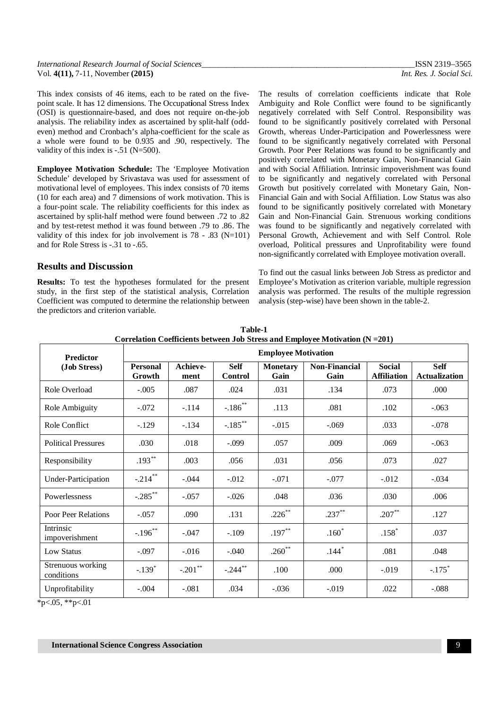| International Research Journal of Social Sciences | ISSN 2319-3565           |
|---------------------------------------------------|--------------------------|
| Vol. $4(11)$ , 7-11, November $(2015)$            | Int. Res. J. Social Sci. |

This index consists of 46 items, each to be rated on the fivepoint scale. It has 12 dimensions. The Occupat**i**onal Stress Index (OSI) is questionnaire-based, and does not require on-the-job analysis. The reliability index as ascertained by split-half (oddeven) method and Cronbach's alpha-coefficient for the scale as a whole were found to be 0.935 and .90, respectively. The validity of this index is -.51 (N=500).

**Employee Motivation Schedule:** The 'Employee Motivation Schedule' developed by Srivastava was used for assessment of motivational level of employees. This index consists of 70 items (10 for each area) and 7 dimensions of work motivation. This is a four-point scale. The reliability coefficients for this index as ascertained by split-half method were found between .72 to .82 and by test-retest method it was found between .79 to .86. The validity of this index for job involvement is 78 - .83 (N=101) and for Role Stress is -.31 to -.65.

### **Results and Discussion**

**Results:** To test the hypotheses formulated for the present study, in the first step of the statistical analysis, Correlation Coefficient was computed to determine the relationship between the predictors and criterion variable.

The results of correlation coefficients indicate that Role Ambiguity and Role Conflict were found to be significantly negatively correlated with Self Control. Responsibility was found to be significantly positively correlated with Personal Growth, whereas Under-Participation and Powerlessness were found to be significantly negatively correlated with Personal Growth. Poor Peer Relations was found to be significantly and positively correlated with Monetary Gain, Non-Financial Gain and with Social Affiliation. Intrinsic impoverishment was found to be significantly and negatively correlated with Personal Growth but positively correlated with Monetary Gain, Non-Financial Gain and with Social Affiliation. Low Status was also found to be significantly positively correlated with Monetary Gain and Non-Financial Gain. Strenuous working conditions was found to be significantly and negatively correlated with Personal Growth, Achievement and with Self Control. Role overload, Political pressures and Unprofitability were found non-significantly correlated with Employee motivation overall.

To find out the casual links between Job Stress as predictor and Employee's Motivation as criterion variable, multiple regression analysis was performed. The results of the multiple regression analysis (step-wise) have been shown in the table-2.

| <b>Predictor</b>                | Correlation Coemetents between Job Stress and Employee Mouvation (15 –201)<br><b>Employee Motivation</b> |            |                                                          |           |                              |                                     |                                     |  |
|---------------------------------|----------------------------------------------------------------------------------------------------------|------------|----------------------------------------------------------|-----------|------------------------------|-------------------------------------|-------------------------------------|--|
| (Job Stress)                    | Achieve-<br><b>Personal</b><br>Growth<br>ment                                                            |            | <b>Self</b><br><b>Monetary</b><br>Gain<br><b>Control</b> |           | <b>Non-Financial</b><br>Gain | <b>Social</b><br><b>Affiliation</b> | <b>Self</b><br><b>Actualization</b> |  |
| Role Overload                   | $-.005$                                                                                                  | .087       | .024                                                     | .031      | .134                         | .073                                | .000                                |  |
| Role Ambiguity                  | $-.072$                                                                                                  | $-.114$    | $-.186$ <sup>**</sup>                                    | .113      | .081                         | .102                                | $-.063$                             |  |
| Role Conflict                   | $-.129$                                                                                                  | $-.134$    | $-.185***$                                               | $-.015$   | $-.069$                      | .033                                | $-.078$                             |  |
| <b>Political Pressures</b>      | .030                                                                                                     | .018       | $-.099$                                                  | .057      | .009                         | .069                                | $-.063$                             |  |
| Responsibility                  | $.193**$                                                                                                 | .003       | .056                                                     | .031      | .056                         | .073                                | .027                                |  |
| <b>Under-Participation</b>      | $-.214$ **                                                                                               | $-.044$    | $-.012$                                                  | $-.071$   | $-.077$                      | $-.012$                             | $-.034$                             |  |
| Powerlessness                   | $-.285***$                                                                                               | $-.057$    | $-.026$                                                  | .048      | .036                         | .030                                | .006                                |  |
| Poor Peer Relations             | $-.057$                                                                                                  | .090       | .131                                                     | $.226***$ | $.237***$                    | $.207**$                            | .127                                |  |
| Intrinsic<br>impoverishment     | $-.196$ **                                                                                               | $-.047$    | $-.109$                                                  | $.197***$ | $.160*$                      | $.158*$                             | .037                                |  |
| <b>Low Status</b>               | $-.097$                                                                                                  | $-.016$    | $-.040$                                                  | $.260**$  | $.144*$                      | .081                                | .048                                |  |
| Strenuous working<br>conditions | $-.139*$                                                                                                 | $-.201$ ** | $-.244$ **                                               | .100      | .000                         | $-.019$                             | $-.175$ <sup>*</sup>                |  |
| Unprofitability                 | $-.004$                                                                                                  | $-.081$    | .034                                                     | $-.036$   | $-.019$                      | .022                                | $-.088$                             |  |

**Table-1 Correlation Coefficients between Job Stress and Employee Motivation (N =201)**

 $*p<.05$ ,  $*p<.01$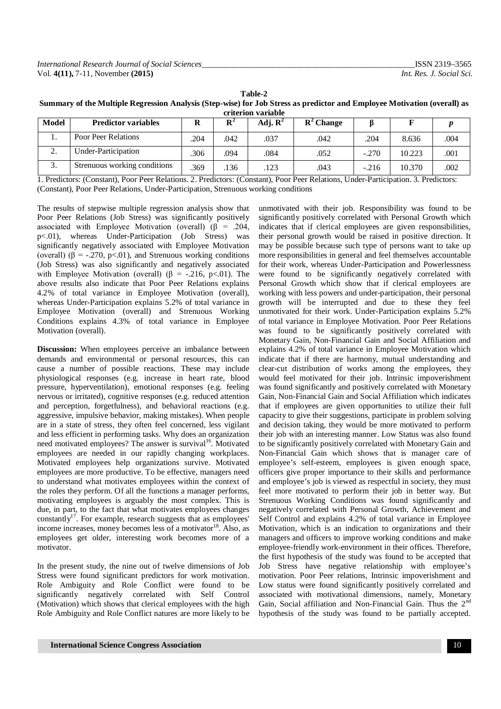| Table-2                                                                                                                  |
|--------------------------------------------------------------------------------------------------------------------------|
| Summary of the Multiple Regression Analysis (Step-wise) for Job Stress as predictor and Employee Motivation (overall) as |
| criterion variable                                                                                                       |

| <b>Model</b> | <b>Predictor variables</b>   | n   |      | Adj. $\mathbf{R}^2$ | $\mathbf{R}^2$ Change |         |        |      |  |
|--------------|------------------------------|-----|------|---------------------|-----------------------|---------|--------|------|--|
|              | Poor Peer Relations          | 204 | .042 | .037                | .042                  | 204     | 8.636  | 004  |  |
| ٠.           | Under-Participation          | 306 | .094 | .084                | .052                  | $-.270$ | 10.223 | .001 |  |
| . ب          | Strenuous working conditions | 369 | 136  | .123                | .043                  | $-.216$ | 10.370 | 002  |  |

1. Predictors: (Constant), Poor Peer Relations. 2. Predictors: (Constant), Poor Peer Relations, Under-Participation. 3. Predictors: (Constant), Poor Peer Relations, Under-Participation, Strenuous working conditions

The results of stepwise multiple regression analysis show that Poor Peer Relations (Job Stress) was significantly positively associated with Employee Motivation (overall) ( $\beta$  = .204, p<.01), whereas Under-Participation (Job Stress) was significantly negatively associated with Employee Motivation (overall) ( $\beta$  = -.270, p<.01), and Strenuous working conditions (Job Stress) was also significantly and negatively associated with Employee Motivation (overall) ( $\beta$  = -.216, p<.01). The above results also indicate that Poor Peer Relations explains 4.2% of total variance in Employee Motivation (overall), whereas Under-Participation explains 5.2% of total variance in Employee Motivation (overall) and Strenuous Working Conditions explains 4.3% of total variance in Employee Motivation (overall).

**Discussion:** When employees perceive an imbalance between demands and environmental or personal resources, this can cause a number of possible reactions. These may include physiological responses (e.g. increase in heart rate, blood pressure, hyperventilation), emotional responses (e.g. feeling nervous or irritated), cognitive responses (e.g. reduced attention and perception, forgetfulness), and behavioral reactions (e.g. aggressive, impulsive behavior, making mistakes). When people are in a state of stress, they often feel concerned, less vigilant and less efficient in performing tasks. Why does an organization need motivated employees? The answer is survival<sup>16</sup>. Motivated employees are needed in our rapidly changing workplaces. Motivated employees help organizations survive. Motivated employees are more productive. To be effective, managers need to understand what motivates employees within the context of the roles they perform. Of all the functions a manager performs, motivating employees is arguably the most complex. This is due, in part, to the fact that what motivates employees changes  $\arctan\left(\frac{1}{2}\right)^{17}$ . For example, research suggests that as employees' income increases, money becomes less of a motivator<sup>18</sup>. Also, as employees get older, interesting work becomes more of a motivator.

In the present study, the nine out of twelve dimensions of Job Stress were found significant predictors for work motivation. Role Ambiguity and Role Conflict were found to be significantly negatively correlated with Self Control (Motivation) which shows that clerical employees with the high Role Ambiguity and Role Conflict natures are more likely to be

unmotivated with their job. Responsibility was found to be significantly positively correlated with Personal Growth which indicates that if clerical employees are given responsibilities, their personal growth would be raised in positive direction. It may be possible because such type of persons want to take up more responsibilities in general and feel themselves accountable for their work, whereas Under-Participation and Powerlessness were found to be significantly negatively correlated with Personal Growth which show that if clerical employees are working with less powers and under-participation, their personal growth will be interrupted and due to these they feel unmotivated for their work. Under-Participation explains 5.2% of total variance in Employee Motivation. Poor Peer Relations was found to be significantly positively correlated with Monetary Gain, Non-Financial Gain and Social Affiliation and explains 4.2% of total variance in Employee Motivation which indicate that if there are harmony, mutual understanding and clear-cut distribution of works among the employees, they would feel motivated for their job. Intrinsic impoverishment was found significantly and positively correlated with Monetary Gain, Non-Financial Gain and Social Affiliation which indicates that if employees are given opportunities to utilize their full capacity to give their suggestions, participate in problem solving and decision taking, they would be more motivated to perform their job with an interesting manner. Low Status was also found to be significantly positively correlated with Monetary Gain and Non-Financial Gain which shows that is manager care of employee's self-esteem, employees is given enough space, officers give proper importance to their skills and performance and employee's job is viewed as respectful in society, they must feel more motivated to perform their job in better way. But Strenuous Working Conditions was found significantly and negatively correlated with Personal Growth, Achievement and Self Control and explains 4.2% of total variance in Employee Motivation, which is an indication to organizations and their managers and officers to improve working conditions and make employee-friendly work-environment in their offices. Therefore, the first hypothesis of the study was found to be accepted that Job Stress have negative relationship with employee's motivation. Poor Peer relations, Intrinsic impoverishment and Low status were found significantly positively correlated and associated with motivational dimensions, namely, Monetary Gain, Social affiliation and Non-Financial Gain. Thus the 2<sup>nd</sup> hypothesis of the study was found to be partially accepted.